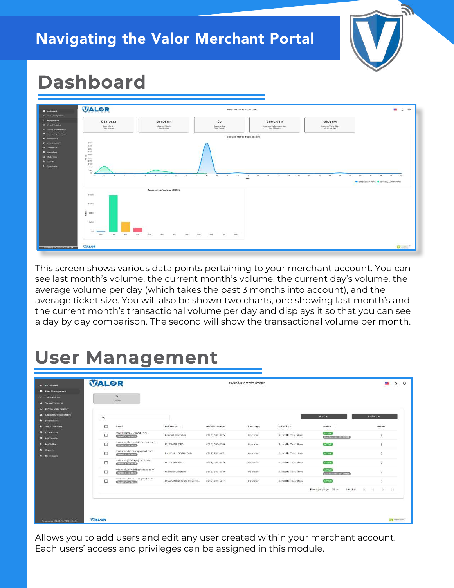#### Navigating the Valor Merchant Portal



## **Dashboard**



This screen shows various data points pertaining to your merchant account. You can see last month's volume, the current month's volume, the current day's volume, the average volume per day (which takes the past 3 months into account), and the average ticket size. You will also be shown two charts, one showing last month's and the current month's transactional volume per day and displays it so that you can see a day by day comparison. The second will show the transactional volume per month.

## **User Management**

|                                                     | VALOR    |                                                               |                                                         |                                       | RANDALL'S TEST STORE             |                                                                               |                                                | <b>CASE</b>                                                        |
|-----------------------------------------------------|----------|---------------------------------------------------------------|---------------------------------------------------------|---------------------------------------|----------------------------------|-------------------------------------------------------------------------------|------------------------------------------------|--------------------------------------------------------------------|
| <b>AL User Monagement</b>                           |          | 6                                                             |                                                         |                                       |                                  |                                                                               |                                                |                                                                    |
| $t^*$ Transactions<br><b>A</b> Virtual Terminal     |          | <b>USUS</b>                                                   |                                                         |                                       |                                  |                                                                               |                                                |                                                                    |
| <b>J. Device Management</b>                         |          |                                                               |                                                         |                                       |                                  |                                                                               |                                                |                                                                    |
| El Engage My Customers                              | $\alpha$ |                                                               |                                                         |                                       |                                  |                                                                               | :Add =                                         | Action -                                                           |
| <b>C</b> Pitterstillers<br><b>ST</b> Valor Sheet HT | □        | Email                                                         | Full Name =                                             | Mobile Number                         | <b>Hiser Type</b>                | Owned By<br>22 M.W. 201                                                       | Status =                                       | Action                                                             |
| <b>Ca</b> Contact Us<br><b>EX My Tickets</b>        | □        | rendatiting1@gmeil.com<br><b>Communities</b>                  | Randall Operator                                        | (718) 581-9674                        | 120012-001<br>Operator           | <b>CONTRACTOR</b> CONTRACTOR<br>Randall's Test Store<br>여기 전쟁 학교에서 이루어지고 있었다. | armw.<br>Van See Or (03-36-2021)               | $\begin{array}{c} \begin{array}{c} 1 \\ 1 \end{array} \end{array}$ |
| <b>El</b> My Setting                                | □        | muzamilidroos+3@yandex.com<br>Restaute Tian bears             | MUZAMIL OPS                                             | <b>COOKING HOOK</b><br>(510) 503-0500 | Operator.                        | Randall's Test Store                                                          | sume                                           |                                                                    |
| <b>+ Downloads</b>                                  | □        | muzamitdrogs+5@gmail.com<br><b>Restrict Test Direct</b>       | RANDALL OPERATOR                                        | $(7.18) 581 - 0674$                   | Operator                         | Randall's Test Store                                                          | <b>AUTIVE</b>                                  | Ŧ                                                                  |
|                                                     | □        | muzamil@valorpaytech.com<br><b>CURRICULUM CONTROL</b>         | MUZAMIL OPS                                             | $(904)$ 290-0550                      | Operator                         | Randall's Test Store                                                          | AUTON                                          | đ                                                                  |
|                                                     | □        | michael@randalltestatore.com<br><b>Stanzadio True Central</b> | Michael Grottenp                                        | (516) 503-6506                        | Operator                         | Ranciall's Test Store                                                         | <b>AUTHO</b><br><b>THE SHEAR OF THE TREATY</b> |                                                                    |
|                                                     | □        | muzamitidrocis+4@gmaR.com<br><b>Citizens in Inches</b>        | MUZAMII IDROOS OPEART<br>2012년 2013년 1월 20일 - 20일 - 20일 | (646) 291-6211<br>PER 1999 P.P.       | <b>A PARTIES ARE</b><br>Dowator: | Randalf's Test Store                                                          | <b>ATTMC</b>                                   | ÷                                                                  |
|                                                     |          |                                                               |                                                         |                                       |                                  |                                                                               | Rows per page $26 +$                           | $1+6$ of $6$ $\leq$ $\leq$ $31$                                    |

Allows you to add users and edit any user created within your merchant account. Each users' access and privileges can be assigned in this module.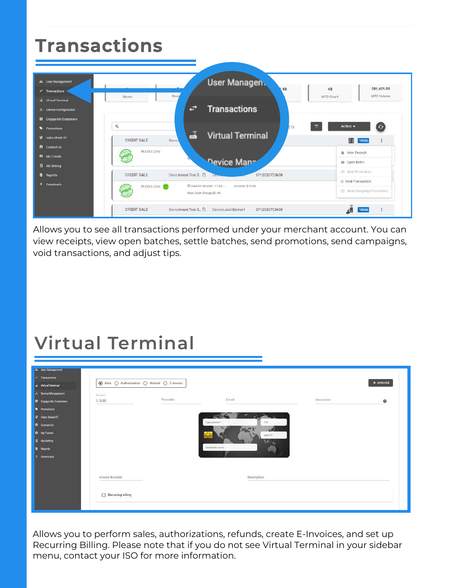| \$81,409.80<br>48<br>MTD Volume<br>MTD Count                           |
|------------------------------------------------------------------------|
|                                                                        |
| $\bigcirc$<br>Action $\sim$<br><b>MARINEZ</b>                          |
| <b>&amp;</b> View Receipt<br>目 Open Batch                              |
| (ii) Send Promotion<br>8 Void Transaction<br>C Send Campaign Promotion |
|                                                                        |

Allows you to see all transactions performed under your merchant account. You can view receipts, view open batches, settle batches, send promotions, send campaigns, void transactions, and adjust tips.

## **Virtual Terminal**

| <b>We User Management</b>    |                                                                                                                |          |                      |            |                 |
|------------------------------|----------------------------------------------------------------------------------------------------------------|----------|----------------------|------------|-----------------|
| <b>Transactions</b>          | $\circledcirc$ Sale $\circlearrowright$ Authorization $\circlearrowright$ Refund $\circlearrowright$ E-invoice |          |                      |            | <b>O MANAGE</b> |
| <b>J</b> Virtual Terminal    |                                                                                                                |          |                      |            |                 |
| <b>2.</b> Device Management  | Arrount *                                                                                                      | PhoneNo: | Email                |            |                 |
| <b>B</b> Engage My Customers | \$0.00                                                                                                         |          |                      | descriptor | $\mathbf 0$     |
| <b>Dromotions</b>            |                                                                                                                |          |                      |            |                 |
| <b>C</b> Valor Shield RT     |                                                                                                                |          | 之説<br>37<br>-2       |            |                 |
| <b>A</b> Contact Us          |                                                                                                                |          | Card number*<br>DVV: |            |                 |
| <b>EX My Fickets</b>         |                                                                                                                |          | "Bar Ch<br>59        |            |                 |
| <b>Q</b> My Setting          |                                                                                                                |          | MM/YP*               |            |                 |
| <b>E</b> Reports             |                                                                                                                |          | Gwelholder marre     |            |                 |
| Downloads                    |                                                                                                                |          |                      |            |                 |
|                              |                                                                                                                |          |                      |            |                 |
|                              |                                                                                                                |          |                      |            |                 |
|                              | Invoice Number                                                                                                 |          | Description          |            |                 |
|                              |                                                                                                                |          |                      |            |                 |
|                              |                                                                                                                |          |                      |            |                 |
|                              | Recurring billing                                                                                              |          |                      |            |                 |
|                              |                                                                                                                |          |                      |            |                 |

Allows you to perform sales, authorizations, refunds, create E-Invoices, and set up Recurring Billing. Please note that if you do not see Virtual Terminal in your sidebar menu, contact your ISO for more information.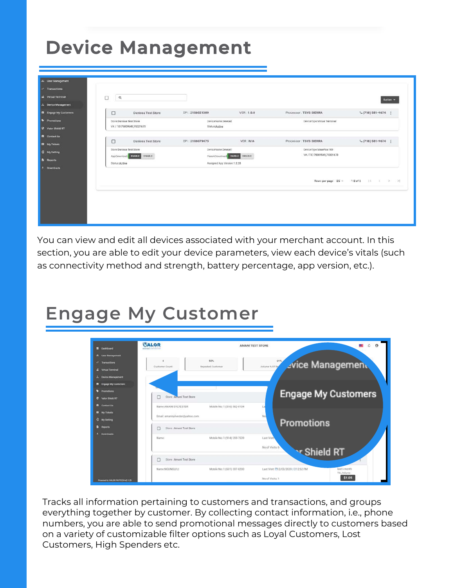#### **Device Management Device Management**

| 人 Device Management<br><b>B</b> Engage My Customers | Ω                        |                                                        |                                     |                              |                                                       | Action -                              |
|-----------------------------------------------------|--------------------------|--------------------------------------------------------|-------------------------------------|------------------------------|-------------------------------------------------------|---------------------------------------|
| Promotions                                          |                          | Danissa Test Store                                     | EPI: 2106021009                     | VER: 1.0.0                   | Processor: TSYS SIERRA                                | $L(718)$ 581-9674                     |
| Valor Shield RT                                     | Store Danissa Test Store | V# / TID:75009549,75021670                             | DeviceName Device2<br>Status Active |                              | DeviceType:Virtual Terminal                           |                                       |
| <b>B</b> Contact Us<br><b>EX My Tickets</b>         | Ο                        | <b>Danissa Test Store</b>                              | EPI 2106079475                      | VER: N/A                     | Processor : TSYS SIERRA                               | $L(718) 581 - 9674$                   |
| <b>Q</b> My Setting                                 |                          | Store Daniasa Test Store<br>AppDownload EMARIE DISABLE | DeviceName:Device1                  | ParamDowrload ENASTE DISABLE | DeviceType:ValorPos 100<br>VW / TID:75009549,75021670 |                                       |
| Downloads                                           | Status: Active           |                                                        | Assigned App Version 1 2.28         |                              |                                                       |                                       |
|                                                     |                          |                                                        |                                     |                              |                                                       | Rows per page 25 = 1-2 of 2   ( ( ) ) |
|                                                     |                          |                                                        |                                     |                              |                                                       |                                       |
|                                                     |                          |                                                        |                                     |                              |                                                       |                                       |

You can view and edit all devices associated with your merchant account. In this section, you are able to edit your device parameters, view each device's vitals (such as connectivity method and strength, battery percentage, app version, etc.).

#### **Engage My Customer**



Tracks all information pertaining to customers and transactions, and groups everything together by customer. By collecting contact information, i.e., phone numbers, you are able to send promotional messages directly to customers based on a variety of customizable filter options such as Loyal Customers, Lost Customers, High Spenders etc.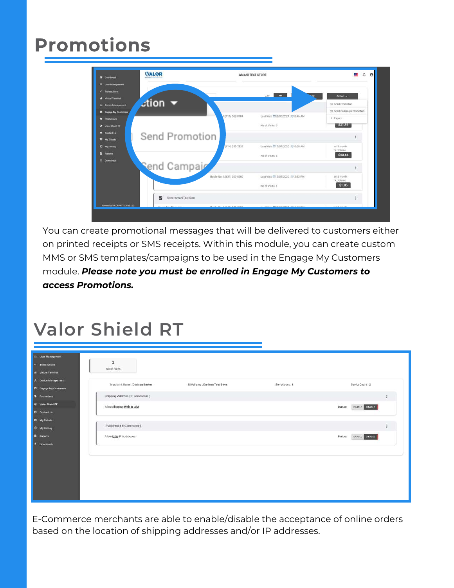## **Promotions**



You can create promotional messages that will be delivered to customers either on printed receipts or SMS receipts. Within this module, you can create custom MMS or SMS templates/campaigns to be used in the Engage My Customers module. *Please note you must be enrolled in Engage My Customers to access Promotions.*

#### **Valor Shield RT**

| 21. User Management                                    |                                |                              |               |                           |
|--------------------------------------------------------|--------------------------------|------------------------------|---------------|---------------------------|
| $\leftarrow$ Transactions<br><b>A</b> Virtual Terminal | $\mathbf{z}$<br>No of Rules    |                              |               |                           |
| $\lambda$ Device Management<br>B Engage My Customers   | Merchant Name : Danissa Santos | DBAName : Danissa Test Store | StoreCount: 1 | Device Count: 2           |
| <b>S</b> Promotions                                    | Shipping Address (E-Commerce)  |                              |               | î.                        |
| <b>O</b> Valor Shield RT<br><b>B</b> Contact Uu        | Allow Shipping With in USA     |                              |               | ENABLE DISABLE<br>Status: |
| <b>EX My Tickets</b><br><b>Q</b> My Satting            | IP Address (E-Commerce)        |                              |               |                           |
| <b>B</b> Reports<br>$\pm$ Downloads                    | Allow USA IP Addresses         |                              |               | Status: ENABLE DISABLE    |
|                                                        |                                |                              |               |                           |
|                                                        |                                |                              |               |                           |
|                                                        |                                |                              |               |                           |
|                                                        |                                |                              |               |                           |
|                                                        |                                |                              |               |                           |

E-Commerce merchants are able to enable/disable the acceptance of online orders based on the location of shipping addresses and/or IP addresses.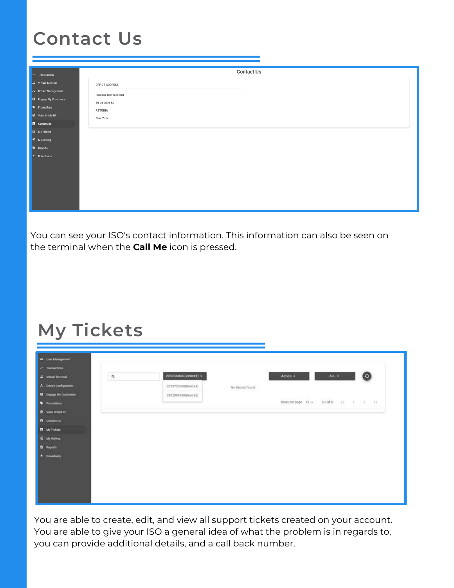# **Contact Us**

| $\blacktriangleright$ Transactions          | <b>Contact Us</b>    |
|---------------------------------------------|----------------------|
| di Virtual Terminal                         | OFFICE ADDRESS       |
| ▲ Device Management                         | Danissa Test Sub-ISO |
| <b>B</b> Engage My Customers                | 36-36 33rd St        |
| Promotions                                  | <b>ASTORIA</b>       |
| Valor Shield RT                             | <b>New York</b>      |
| <b>E</b> Contact Us<br><b>E3</b> My Tickets |                      |
| 日 My Setting                                |                      |
| <b>B</b> Reports                            |                      |
| $\frac{1}{2}$ Downloads                     |                      |
|                                             |                      |
|                                             |                      |
|                                             |                      |
|                                             |                      |
|                                             |                      |
|                                             |                      |

You can see your ISO's contact information. This information can also be seen on the terminal when the **Call Me** icon is pressed.

#### **My Tickets**

| 25 Deer Management                                  |                 |                       |                 |                    |                |         |
|-----------------------------------------------------|-----------------|-----------------------|-----------------|--------------------|----------------|---------|
| Transactions<br>G. Virtual Terminal                 | .<br>$^{\circ}$ | 2033733600(Device1) + |                 | Action +           | ALL $\sim$     | Ø       |
| A Device Configuration                              |                 | 2033733600(Device1)   | No Record Found |                    |                |         |
| <b>B</b> Engage My Customers<br><b>+</b> Promotions |                 | 2102049290(Device2)   |                 | Rows per page 10 + | 0-0 of 0 $\pm$ | 6, 2, 2 |
| <b>D</b> Valor Sheld RT                             |                 |                       |                 |                    |                |         |
| <b>B</b> Contact Un<br><b>D</b> My Tickets          |                 |                       |                 |                    |                |         |
| <b>D</b> My Setting                                 |                 |                       |                 |                    |                |         |
| D Hoporta<br>$\pm$ Downloads                        |                 |                       |                 |                    |                |         |
|                                                     |                 |                       |                 |                    |                |         |
|                                                     |                 |                       |                 |                    |                |         |
|                                                     |                 |                       |                 |                    |                |         |

You are able to create, edit, and view all support tickets created on your account. You are able to give your ISO a general idea of what the problem is in regards to, you can provide additional details, and a call back number.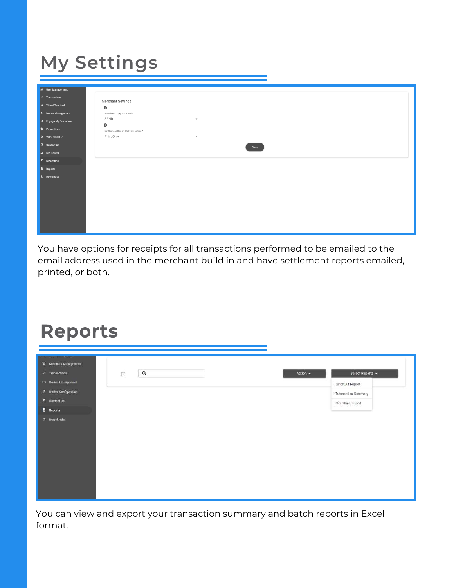## **My Settings**

| <mark>스북 User Management</mark>                                                                                          |                                     |
|--------------------------------------------------------------------------------------------------------------------------|-------------------------------------|
| $\left  \begin{array}{cc} \hline \end{array} \right $ $\left  \begin{array}{cc} \hline \end{array} \right $ Transactions |                                     |
| dis Virtual Terminal                                                                                                     | Merchant Settings<br>$\bullet$      |
| 人 Device Management                                                                                                      | Merchant copy via email*            |
| <b>B</b> Engage My Customers                                                                                             | SEND<br>$\mathbf{v}$                |
| <b>D</b> Promotions                                                                                                      | $\bullet$                           |
|                                                                                                                          | Settlement Report Delivery option * |
| <b>C</b> Valor Shield RT                                                                                                 | Print Only<br>$\mathbf{v}$          |
| <b>B</b> Contact Us                                                                                                      | Save                                |
| E3 My Tickets                                                                                                            |                                     |
| <sup>3</sup> My Setting                                                                                                  |                                     |
| <b>B</b> Reports                                                                                                         |                                     |
| $\pm$ Downloads                                                                                                          |                                     |
|                                                                                                                          |                                     |
|                                                                                                                          |                                     |
|                                                                                                                          |                                     |
|                                                                                                                          |                                     |
|                                                                                                                          |                                     |
|                                                                                                                          |                                     |
|                                                                                                                          |                                     |
|                                                                                                                          |                                     |

You have options for receipts for all transactions performed to be emailed to the email address used in the merchant build in and have settlement reports emailed, printed, or both.

#### **Reports**

| K Merchant Management  |                       |                              |
|------------------------|-----------------------|------------------------------|
| $x^*$ Transactions.    | $\mathsf Q$<br>$\Box$ | Select Reports +<br>Action - |
| Eli Device Management  |                       | BatchOut Report              |
| A Device Configuration |                       | Transaction Summary          |
| <b>A</b> Contact Us    |                       | ISO Billing Report           |
| <b>B</b> Reports       |                       |                              |
| * Downloads            |                       |                              |

You can view and export your transaction summary and batch reports in Excel format.